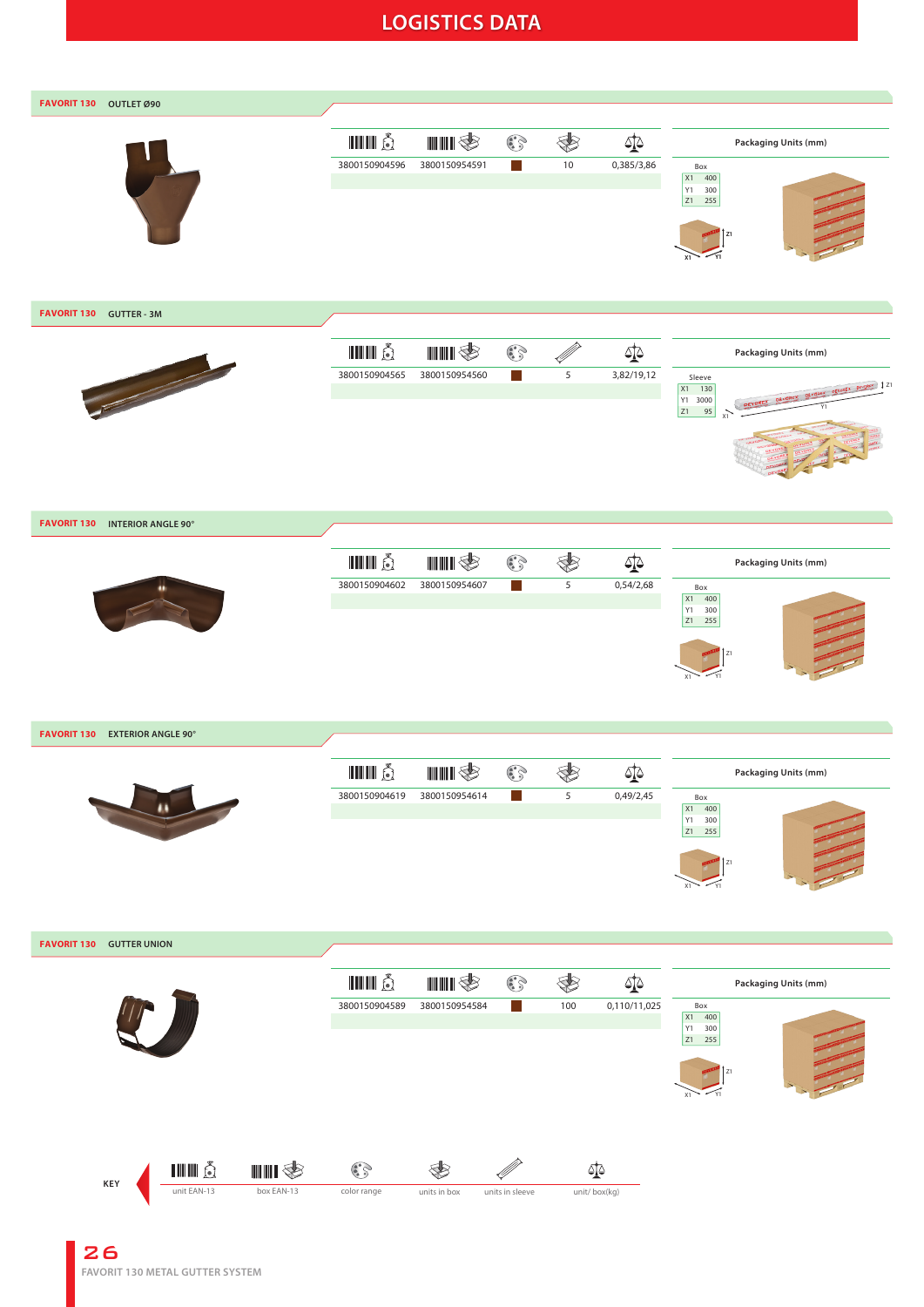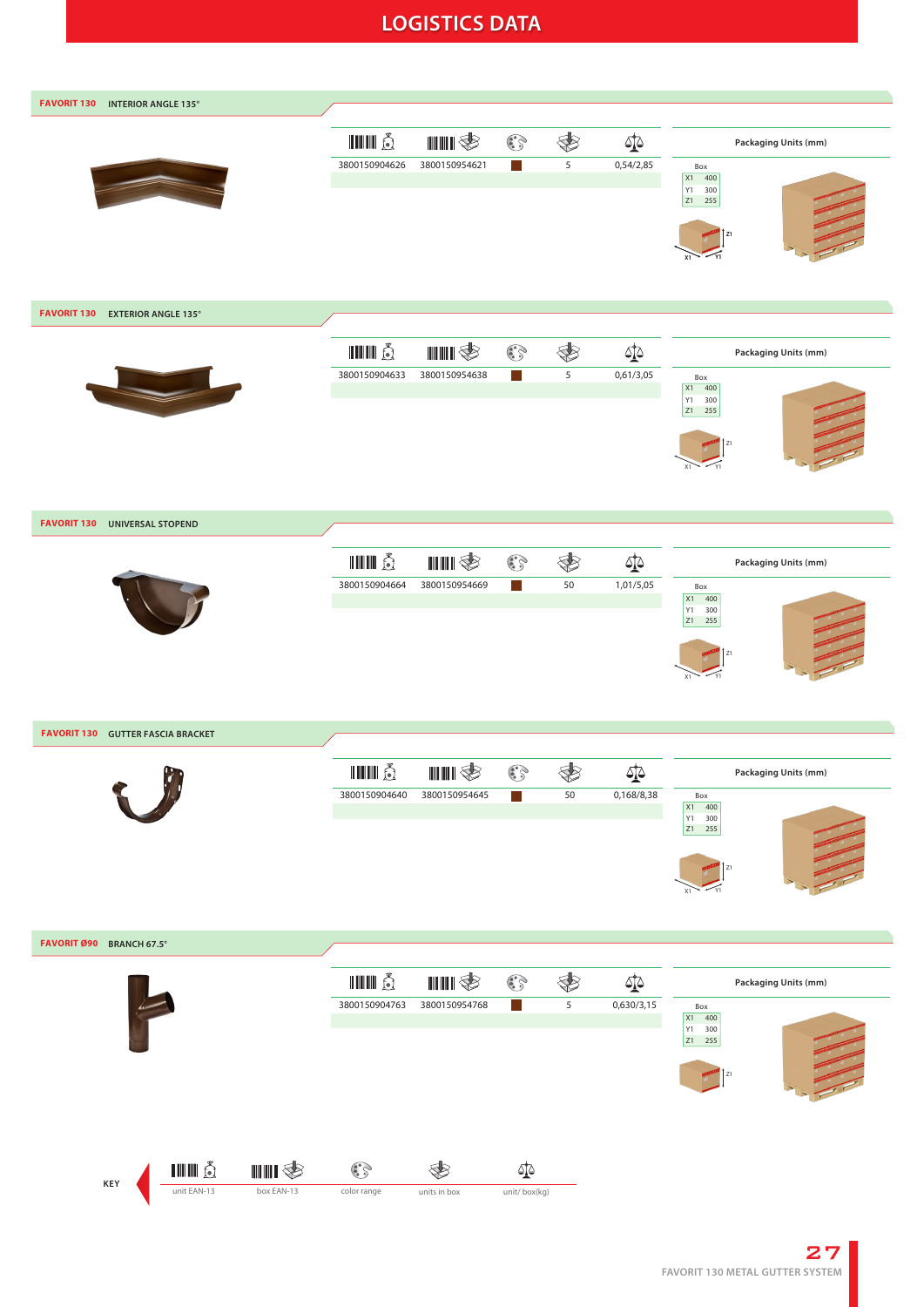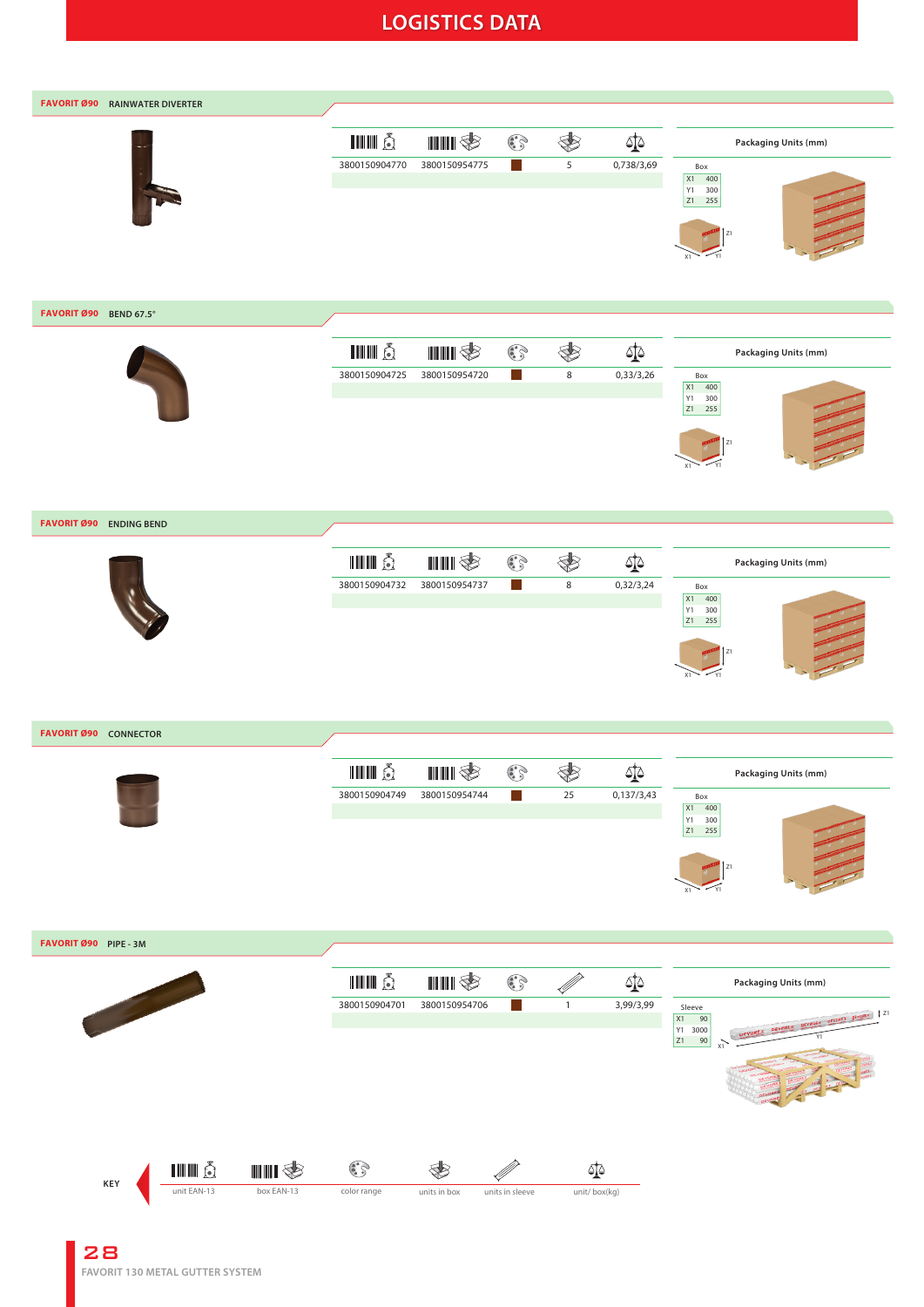